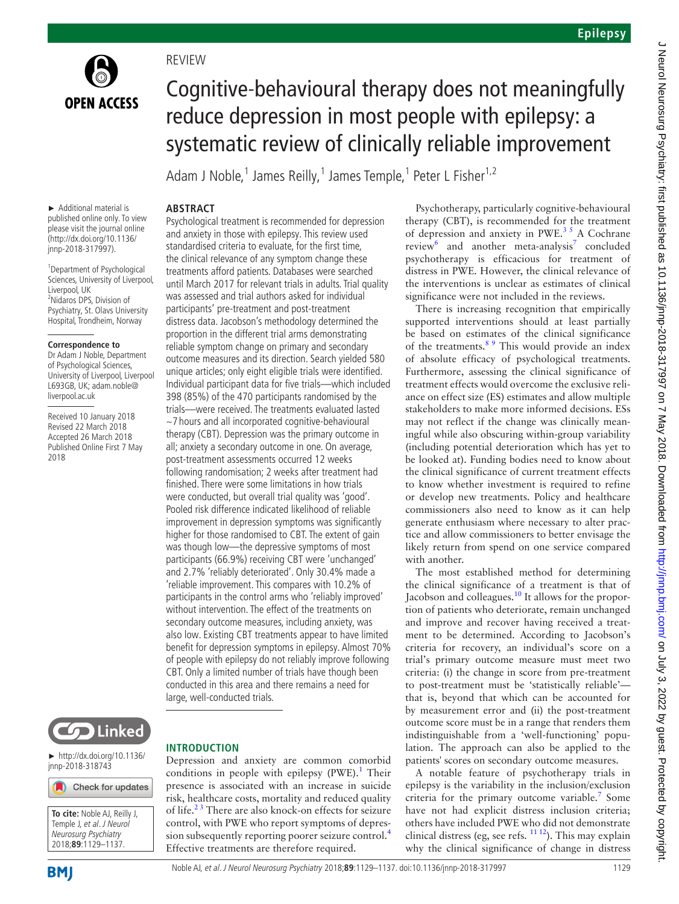

**REVIEW** 

**Abstract**

# Cognitive-behavioural therapy does not meaningfully reduce depression in most people with epilepsy: a systematic review of clinically reliable improvement

Adam J Noble,<sup>1</sup> James Reilly,<sup>1</sup> James Temple,<sup>1</sup> Peter L Fisher<sup>1,2</sup>

#### ► Additional material is published online only. To view please visit the journal online (http://dx.doi.org/10.1136/ jnnp-2018-317997).

1 Department of Psychological Sciences, University of Liverpool, Liverpool, UK 2 Nidaros DPS, Division of Psychiatry, St. Olavs University Hospital, Trondheim, Norway

## **Correspondence to**

Dr Adam J Noble, Department of Psychological Sciences, University of Liverpool, Liverpool L693GB, UK; adam.noble@ liverpool.ac.uk

Received 10 January 2018 Revised 22 March 2018 Accepted 26 March 2018 Published Online First 7 May 2018

and anxiety in those with epilepsy. This review used standardised criteria to evaluate, for the first time, the clinical relevance of any symptom change these treatments afford patients. Databases were searched until March 2017 for relevant trials in adults. Trial quality was assessed and trial authors asked for individual participants' pre-treatment and post-treatment distress data. Jacobson's methodology determined the proportion in the different trial arms demonstrating reliable symptom change on primary and secondary outcome measures and its direction. Search yielded 580 unique articles; only eight eligible trials were identified. Individual participant data for five trials—which included 398 (85%) of the 470 participants randomised by the trials—were received. The treatments evaluated lasted ~7 hours and all incorporated cognitive-behavioural therapy (CBT). Depression was the primary outcome in all; anxiety a secondary outcome in one. On average, post-treatment assessments occurred 12 weeks following randomisation; 2 weeks after treatment had finished. There were some limitations in how trials were conducted, but overall trial quality was 'good'. Pooled risk difference indicated likelihood of reliable improvement in depression symptoms was significantly higher for those randomised to CBT. The extent of gain was though low—the depressive symptoms of most participants (66.9%) receiving CBT were 'unchanged' and 2.7% 'reliably deteriorated'. Only 30.4% made a 'reliable improvement. This compares with 10.2% of participants in the control arms who 'reliably improved' without intervention. The effect of the treatments on secondary outcome measures, including anxiety, was also low. Existing CBT treatments appear to have limited benefit for depression symptoms in epilepsy. Almost 70% of people with epilepsy do not reliably improve following CBT. Only a limited number of trials have though been conducted in this area and there remains a need for large, well-conducted trials.

Psychological treatment is recommended for depression



► http://dx.doi.org/10.1136/ jnnp-2018-318743

Check for updates



# **Introduction**

Depression and anxiety are common comorbid conditions in people with epilepsy (PWE).<sup>[1](#page-8-0)</sup> Their presence is associated with an increase in suicide risk, healthcare costs, mortality and reduced quality of life.<sup>23</sup> There are also knock-on effects for seizure control, with PWE who report symptoms of depres-sion subsequently reporting poorer seizure control.<sup>[4](#page-8-2)</sup> Effective treatments are therefore required.

Psychotherapy, particularly cognitive-behavioural therapy (CBT), is recommended for the treatment of depression and anxiety in PWE.[3 5](#page-8-3) A Cochrane review and another meta-analysis<sup>[7](#page-8-5)</sup> concluded psychotherapy is efficacious for treatment of distress in PWE. However, the clinical relevance of the interventions is unclear as estimates of clinical significance were not included in the reviews.

There is increasing recognition that empirically supported interventions should at least partially be based on estimates of the clinical significance of the treatments.<sup>89</sup> This would provide an index of absolute efficacy of psychological treatments. Furthermore, assessing the clinical significance of treatment effects would overcome the exclusive reliance on effect size (ES) estimates and allow multiple stakeholders to make more informed decisions. ESs may not reflect if the change was clinically meaningful while also obscuring within-group variability (including potential deterioration which has yet to be looked at). Funding bodies need to know about the clinical significance of current treatment effects to know whether investment is required to refine or develop new treatments. Policy and healthcare commissioners also need to know as it can help generate enthusiasm where necessary to alter practice and allow commissioners to better envisage the likely return from spend on one service compared with another.

The most established method for determining the clinical significance of a treatment is that of Jacobson and colleagues.<sup>10</sup> It allows for the proportion of patients who deteriorate, remain unchanged and improve and recover having received a treatment to be determined. According to Jacobson's criteria for recovery, an individual's score on a trial's primary outcome measure must meet two criteria: (i) the change in score from pre-treatment to post-treatment must be 'statistically reliable' that is, beyond that which can be accounted for by measurement error and (ii) the post-treatment outcome score must be in a range that renders them indistinguishable from a 'well-functioning' population. The approach can also be applied to the patients' scores on secondary outcome measures.

A notable feature of psychotherapy trials in epilepsy is the variability in the inclusion/exclusion criteria for the primary outcome variable.<sup>[7](#page-8-5)</sup> Some have not had explicit distress inclusion criteria; others have included PWE who did not demonstrate clinical distress (eg, see refs.  $11 12$ ). This may explain why the clinical significance of change in distress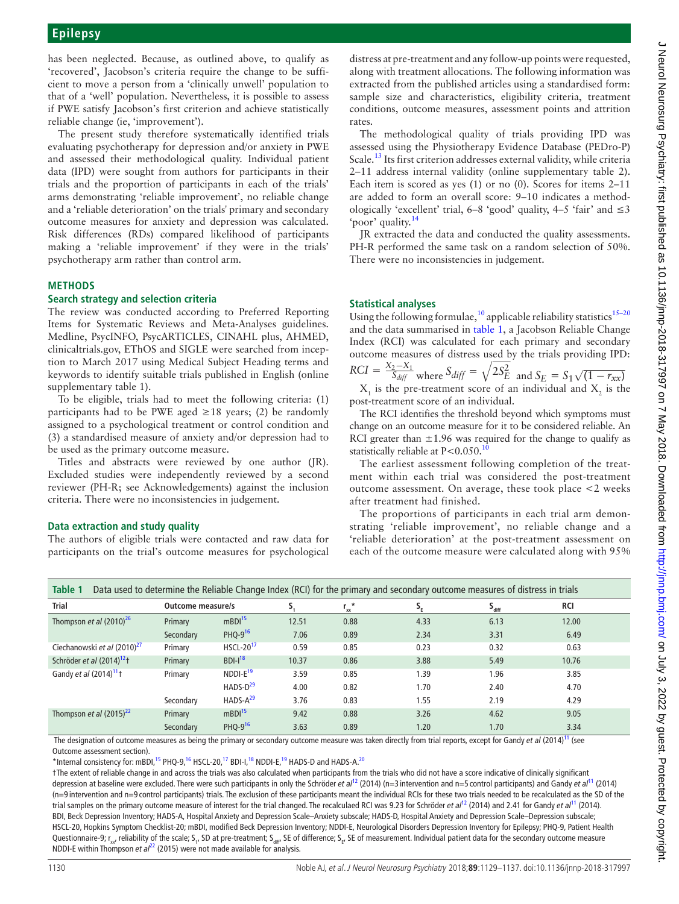has been neglected. Because, as outlined above, to qualify as 'recovered', Jacobson's criteria require the change to be sufficient to move a person from a 'clinically unwell' population to that of a 'well' population. Nevertheless, it is possible to assess if PWE satisfy Jacobson's first criterion and achieve statistically reliable change (ie, 'improvement').

The present study therefore systematically identified trials evaluating psychotherapy for depression and/or anxiety in PWE and assessed their methodological quality. Individual patient data (IPD) were sought from authors for participants in their trials and the proportion of participants in each of the trials' arms demonstrating 'reliable improvement', no reliable change and a 'reliable deterioration' on the trials' primary and secondary outcome measures for anxiety and depression was calculated. Risk differences (RDs) compared likelihood of participants making a 'reliable improvement' if they were in the trials' psychotherapy arm rather than control arm.

# **Methods**

## **Search strategy and selection criteria**

The review was conducted according to Preferred Reporting Items for Systematic Reviews and Meta-Analyses guidelines. Medline, PsycINFO, PsycARTICLES, CINAHL plus, AHMED, clinicaltrials.gov, EThOS and SIGLE were searched from inception to March 2017 using Medical Subject Heading terms and keywords to identify suitable trials published in English (online [supplementary table 1](https://dx.doi.org/10.1136/jnnp-2018-317997)).

To be eligible, trials had to meet the following criteria: (1) participants had to be PWE aged  $\geq 18$  years; (2) be randomly assigned to a psychological treatment or control condition and (3) a standardised measure of anxiety and/or depression had to be used as the primary outcome measure.

Titles and abstracts were reviewed by one author (JR). Excluded studies were independently reviewed by a second reviewer (PH-R; see Acknowledgements) against the inclusion criteria. There were no inconsistencies in judgement.

# **Data extraction and study quality**

The authors of eligible trials were contacted and raw data for participants on the trial's outcome measures for psychological

distress at pre-treatment and any follow-up points were requested, along with treatment allocations. The following information was extracted from the published articles using a standardised form: sample size and characteristics, eligibility criteria, treatment conditions, outcome measures, assessment points and attrition rates.

The methodological quality of trials providing IPD was assessed using the Physiotherapy Evidence Database (PEDro-P) Scale.<sup>[13](#page-8-20)</sup> Its first criterion addresses external validity, while criteria 2–11 address internal validity (online [supplementary table 2\)](https://dx.doi.org/10.1136/jnnp-2018-317997). Each item is scored as yes (1) or no (0). Scores for items 2–11 are added to form an overall score: 9–10 indicates a methodologically 'excellent' trial,  $6-8$  'good' quality,  $4-5$  'fair' and  $\leq 3$ 'poor' quality.[14](#page-8-21)

JR extracted the data and conducted the quality assessments. PH-R performed the same task on a random selection of 50%. There were no inconsistencies in judgement.

# **Statistical analyses**

Using the following formulae,<sup>[10](#page-8-7)</sup> applicable reliability statistics<sup>15-20</sup> and the data summarised in [table](#page-1-0) 1, a Jacobson Reliable Change Index (RCI) was calculated for each primary and secondary outcome measures of distress used by the trials providing IPD: *RCI* =  $\frac{X_2 - X_1}{S_{diff}}$  where  $S_{diff} = \sqrt{2S_E^2}$  and  $S_E = S_1 \sqrt{(1 - r_{xx})^2}$ 

 $X_1$  is the pre-treatment score of an individual and  $X_2$  is the post-treatment score of an individual.

The RCI identifies the threshold beyond which symptoms must change on an outcome measure for it to be considered reliable. An RCI greater than  $\pm 1.96$  was required for the change to qualify as statistically reliable at  $P < 0.050$ .<sup>[10](#page-8-7)</sup>

The earliest assessment following completion of the treatment within each trial was considered the post-treatment outcome assessment. On average, these took place <2 weeks after treatment had finished.

The proportions of participants in each trial arm demonstrating 'reliable improvement', no reliable change and a 'reliable deterioration' at the post-treatment assessment on each of the outcome measure were calculated along with 95%

<span id="page-1-0"></span>

| Table 1<br>Data used to determine the Reliable Change Index (RCI) for the primary and secondary outcome measures of distress in trials |                   |                             |       |                         |      |                            |       |  |
|----------------------------------------------------------------------------------------------------------------------------------------|-------------------|-----------------------------|-------|-------------------------|------|----------------------------|-------|--|
| <b>Trial</b>                                                                                                                           | Outcome measure/s |                             |       | $r_{xx}^{\prime\prime}$ | s,   | $\mathsf{s}_{_{\sf diff}}$ | RCI   |  |
| Thompson et al $(2010)^{26}$                                                                                                           | Primary           | mBDI <sup>15</sup>          | 12.51 | 0.88                    | 4.33 | 6.13                       | 12.00 |  |
|                                                                                                                                        | Secondary         | PHQ-9 <sup>16</sup>         | 7.06  | 0.89                    | 2.34 | 3.31                       | 6.49  |  |
| Ciechanowski et al (2010) <sup>27</sup>                                                                                                | Primary           | <b>HSCL-20<sup>17</sup></b> | 0.59  | 0.85                    | 0.23 | 0.32                       | 0.63  |  |
| Schröder et al (2014) <sup>12</sup> t                                                                                                  | Primary           | $BDI-I18$                   | 10.37 | 0.86                    | 3.88 | 5.49                       | 10.76 |  |
| Gandy <i>et al</i> $(2014)^{11}$ t                                                                                                     | Primary           | $NDDI-E19$                  | 3.59  | 0.85                    | 1.39 | 1.96                       | 3.85  |  |
|                                                                                                                                        |                   | $HADS-D29$                  | 4.00  | 0.82                    | 1.70 | 2.40                       | 4.70  |  |
|                                                                                                                                        | Secondary         | $HADS-A29$                  | 3.76  | 0.83                    | 1.55 | 2.19                       | 4.29  |  |
| Thompson et al $(2015)^{22}$                                                                                                           | Primary           | mBDI <sup>15</sup>          | 9.42  | 0.88                    | 3.26 | 4.62                       | 9.05  |  |
|                                                                                                                                        | Secondary         | PHQ-9 <sup>16</sup>         | 3.63  | 0.89                    | 1.20 | 1.70                       | 3.34  |  |

 The designation of outcome measures as being the primary or secondary outcome measure was taken directly from trial reports, except for Gandy *et al* (2014)[11](#page-8-8) (see Outcome assessment section).

\*Internal consistency for: mBDI,<sup>15</sup> PHQ-9,<sup>16</sup> HSCL-20,<sup>17</sup> BDI-I,<sup>18</sup> NDDI-E,<sup>19</sup> HADS-D and HADS-A.<sup>20</sup>

†The extent of reliable change in and across the trials was also calculated when participants from the trials who did not have a score indicative of clinically significant depression at baseline were excluded. There were such participants in only the Schröder *et al<sup>11</sup>* (2014) (n=3 intervention and n=5 control participants) and Gandy *et al*<sup>11</sup> (2014) (n=9 intervention and n=9 control participants) trials. The exclusion of these participants meant the individual RCIs for these two trials needed to be recalculated as the SD of the trial samples on the primary outcome measure of interest for the trial changed. The recalculaed RCI was 9.23 for Schröder *et al*[12](#page-8-14) (2014) and 2.41 for Gandy *et al*[11](#page-8-8) (2014). BDI, Beck Depression Inventory; HADS-A, Hospital Anxiety and Depression Scale–Anxiety subscale; HADS-D, Hospital Anxiety and Depression Scale–Depression subscale; HSCL-20, Hopkins Symptom Checklist-20; mBDI, modified Beck Depression Inventory; NDDI-E, Neurological Disorders Depression Inventory for Epilepsy; PHQ-9, Patient Health Questionnaire-9; r<sub>xx</sub>, reliability of the scale; S<sub>1</sub>, SD at pre-treatment; S<sub>aiff</sub>, SE of difference; S<sub>E</sub>, SE of measurement. Individual patient data for the secondary outcome measure NDDI-E within Thompson *et al<sup>[22](#page-8-18)</sup>* (2015) were not made available for analysis.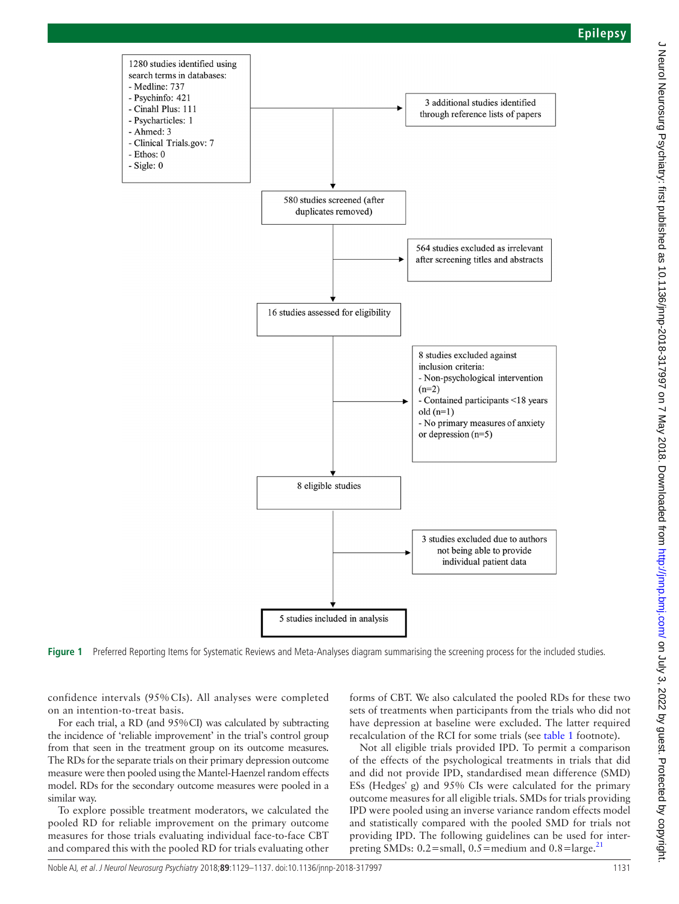

<span id="page-2-0"></span>Figure 1 Preferred Reporting Items for Systematic Reviews and Meta-Analyses diagram summarising the screening process for the included studies.

confidence intervals (95% CIs). All analyses were completed on an intention-to-treat basis.

For each trial, a RD (and 95%CI) was calculated by subtracting the incidence of 'reliable improvement' in the trial's control group from that seen in the treatment group on its outcome measures. The RDs for the separate trials on their primary depression outcome measure were then pooled using the Mantel-Haenzel random effects model. RDs for the secondary outcome measures were pooled in a similar way.

To explore possible treatment moderators, we calculated the pooled RD for reliable improvement on the primary outcome measures for those trials evaluating individual face-to-face CBT and compared this with the pooled RD for trials evaluating other

forms of CBT. We also calculated the pooled RDs for these two sets of treatments when participants from the trials who did not have depression at baseline were excluded. The latter required recalculation of the RCI for some trials (see [table](#page-1-0) 1 footnote).

Not all eligible trials provided IPD. To permit a comparison of the effects of the psychological treatments in trials that did and did not provide IPD, standardised mean difference (SMD) ESs (Hedges' g) and 95% CIs were calculated for the primary outcome measures for all eligible trials. SMDs for trials providing IPD were pooled using an inverse variance random effects model and statistically compared with the pooled SMD for trials not providing IPD. The following guidelines can be used for interpreting SMDs:  $0.2$ =small,  $0.5$ =medium and  $0.8$ =large.<sup>[21](#page-8-22)</sup>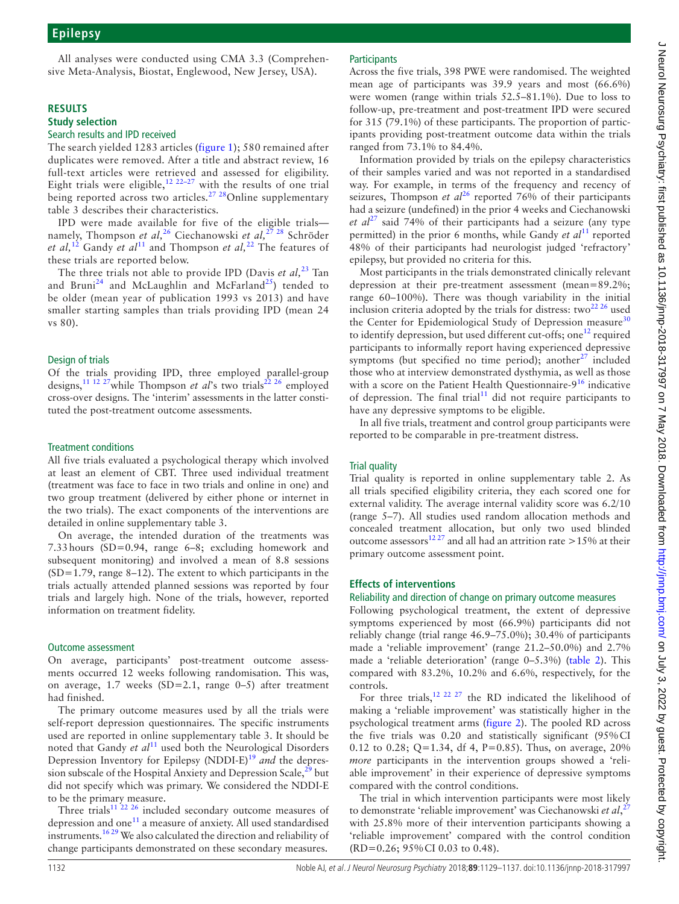All analyses were conducted using CMA 3.3 (Comprehensive Meta-Analysis, Biostat, Englewood, New Jersey, USA).

## **Results**

#### **Study selection** Search results and IPD received

The search yielded 1283 articles [\(figure](#page-2-0) 1); 580 remained after duplicates were removed. After a title and abstract review, 16 full-text articles were retrieved and assessed for eligibility. Eight trials were eligible,<sup>[12 22–27](#page-8-14)</sup> with the results of one trial being reported across two articles.<sup>27</sup> <sup>28</sup>Online supplementary [table 3](https://dx.doi.org/10.1136/jnnp-2018-317997) describes their characteristics.

IPD were made available for five of the eligible trials namely, Thompson *et al,*[26](#page-8-9) Ciechanowski *et al,*[27 28](#page-8-12) Schröder *et al,*[12](#page-8-14) Gandy *et al*[11](#page-8-8) and Thompson *et al,*[22](#page-8-18) The features of these trials are reported below.

The three trials not able to provide IPD (Davis *et al*,<sup>[23](#page-8-23)</sup> Tan and Bruni<sup>24</sup> and McLaughlin and McFarland<sup>25</sup>) tended to be older (mean year of publication 1993 vs 2013) and have smaller starting samples than trials providing IPD (mean 24 vs 80).

## Design of trials

Of the trials providing IPD, three employed parallel-group designs,<sup>[11 12 27](#page-8-8)</sup>while Thompson *et al's* two trials<sup>[22 26](#page-8-18)</sup> employed cross-over designs. The 'interim' assessments in the latter constituted the post-treatment outcome assessments.

#### Treatment conditions

All five trials evaluated a psychological therapy which involved at least an element of CBT. Three used individual treatment (treatment was face to face in two trials and online in one) and two group treatment (delivered by either phone or internet in the two trials). The exact components of the interventions are detailed in online [supplementary table 3.](https://dx.doi.org/10.1136/jnnp-2018-317997)

On average, the intended duration of the treatments was 7.33hours (SD=0.94, range 6–8; excluding homework and subsequent monitoring) and involved a mean of 8.8 sessions  $(SD=1.79$ , range 8–12). The extent to which participants in the trials actually attended planned sessions was reported by four trials and largely high. None of the trials, however, reported information on treatment fidelity.

#### Outcome assessment

On average, participants' post-treatment outcome assessments occurred 12 weeks following randomisation. This was, on average, 1.7 weeks (SD=2.1, range 0–5) after treatment had finished.

The primary outcome measures used by all the trials were self-report depression questionnaires. The specific instruments used are reported in online [supplementary table 3.](https://dx.doi.org/10.1136/jnnp-2018-317997) It should be noted that Gandy *et al*<sup>[11](#page-8-8)</sup> used both the Neurological Disorders Depression Inventory for Epilepsy (NDDI-E)<sup>[19](#page-8-16)</sup> and the depression subscale of the Hospital Anxiety and Depression Scale,<sup>29</sup> but did not specify which was primary. We considered the NDDI-E to be the primary measure.

Three trials<sup>11 22 26</sup> included secondary outcome measures of depression and one<sup>11</sup> a measure of anxiety. All used standardised instruments.<sup>1629</sup> We also calculated the direction and reliability of change participants demonstrated on these secondary measures.

## **Participants**

Across the five trials, 398 PWE were randomised. The weighted mean age of participants was 39.9 years and most (66.6%) were women (range within trials 52.5–81.1%). Due to loss to follow-up, pre-treatment and post-treatment IPD were secured for 315 (79.1%) of these participants. The proportion of participants providing post-treatment outcome data within the trials ranged from 73.1% to 84.4%.

Information provided by trials on the epilepsy characteristics of their samples varied and was not reported in a standardised way. For example, in terms of the frequency and recency of seizures, Thompson *et al*<sup>[26](#page-8-9)</sup> reported 76% of their participants had a seizure (undefined) in the prior 4 weeks and Ciechanowski *et al*[27](#page-8-12) said 74% of their participants had a seizure (any type permitted) in the prior 6 months, while Gandy *et al*<sup>11</sup> reported 48% of their participants had neurologist judged 'refractory' epilepsy, but provided no criteria for this.

Most participants in the trials demonstrated clinically relevant depression at their pre-treatment assessment (mean=89.2%; range 60–100%). There was though variability in the initial inclusion criteria adopted by the trials for distress: two $^{22\,26}$  used the Center for Epidemiological Study of Depression measure $30$ to identify depression, but used different cut-offs; one<sup>12</sup> required participants to informally report having experienced depressive symptoms (but specified no time period); another $27$  included those who at interview demonstrated dysthymia, as well as those with a score on the Patient Health Questionnaire-9<sup>[16](#page-8-11)</sup> indicative of depression. The final trial<sup>[11](#page-8-8)</sup> did not require participants to have any depressive symptoms to be eligible.

In all five trials, treatment and control group participants were reported to be comparable in pre-treatment distress.

## Trial quality

Trial quality is reported in online [supplementary table 2](https://dx.doi.org/10.1136/jnnp-2018-317997). As all trials specified eligibility criteria, they each scored one for external validity. The average internal validity score was 6.2/10 (range 5–7). All studies used random allocation methods and concealed treatment allocation, but only two used blinded outcome assessors<sup>[12 27](#page-8-14)</sup> and all had an attrition rate >15% at their primary outcome assessment point.

## **Effects of interventions**

#### Reliability and direction of change on primary outcome measures

Following psychological treatment, the extent of depressive symptoms experienced by most (66.9%) participants did not reliably change (trial range 46.9–75.0%); 30.4% of participants made a 'reliable improvement' (range 21.2–50.0%) and 2.7% made a 'reliable deterioration' (range 0–5.3%) [\(table](#page-4-0) 2). This compared with 83.2%, 10.2% and 6.6%, respectively, for the controls.

For three trials,<sup>12 22 27</sup> the RD indicated the likelihood of making a 'reliable improvement' was statistically higher in the psychological treatment arms ([figure](#page-5-0) 2). The pooled RD across the five trials was 0.20 and statistically significant (95%CI 0.12 to 0.28; Q=1.34, df 4, P=0.85). Thus, on average, 20% *more* participants in the intervention groups showed a 'reliable improvement' in their experience of depressive symptoms compared with the control conditions.

The trial in which intervention participants were most likely to demonstrate 'reliable improvement' was Ciechanowski *et al*, [27](#page-8-12) with 25.8% more of their intervention participants showing a 'reliable improvement' compared with the control condition (RD=0.26; 95%CI 0.03 to 0.48).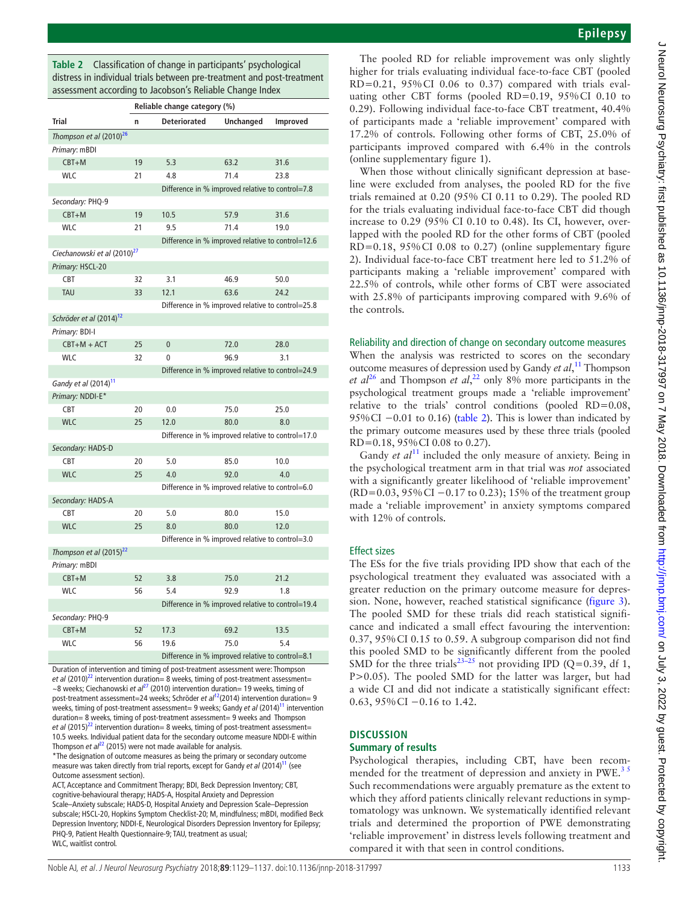<span id="page-4-0"></span>**Table 2** Classification of change in participants' psychological distress in individual trials between pre-treatment and post-treatment assessment according to Jacobson's Reliable Change Index

|                                         | Reliable change category (%) |                                                   |           |          |  |  |  |  |
|-----------------------------------------|------------------------------|---------------------------------------------------|-----------|----------|--|--|--|--|
| <b>Trial</b>                            | n                            | <b>Deteriorated</b>                               | Unchanged | Improved |  |  |  |  |
| Thompson et al (2010) <sup>26</sup>     |                              |                                                   |           |          |  |  |  |  |
| Primary: mBDI                           |                              |                                                   |           |          |  |  |  |  |
| $CBT+M$                                 | 19                           | 5.3                                               | 63.2      | 31.6     |  |  |  |  |
| <b>WLC</b>                              | 21                           | 4.8                                               | 71.4      | 23.8     |  |  |  |  |
|                                         |                              | Difference in % improved relative to control=7.8  |           |          |  |  |  |  |
| Secondary: PHQ-9                        |                              |                                                   |           |          |  |  |  |  |
| $CBT+M$                                 | 19                           | 10.5                                              | 57.9      | 31.6     |  |  |  |  |
| <b>WLC</b>                              | 21                           | 9.5                                               | 71.4      | 19.0     |  |  |  |  |
|                                         |                              | Difference in % improved relative to control=12.6 |           |          |  |  |  |  |
| Ciechanowski et al (2010) <sup>27</sup> |                              |                                                   |           |          |  |  |  |  |
| Primary: HSCL-20                        |                              |                                                   |           |          |  |  |  |  |
| <b>CBT</b>                              | 32                           | 3.1                                               | 46.9      | 50.0     |  |  |  |  |
| <b>TAU</b>                              | 33                           | 12.1                                              | 63.6      | 24.2     |  |  |  |  |
|                                         |                              | Difference in % improved relative to control=25.8 |           |          |  |  |  |  |
| Schröder et al (2014) <sup>12</sup>     |                              |                                                   |           |          |  |  |  |  |
| Primary: BDI-I                          |                              |                                                   |           |          |  |  |  |  |
| $CBT+M+ACT$                             | 25                           | $\mathbf{0}$                                      | 72.0      | 28.0     |  |  |  |  |
| <b>WLC</b>                              | 32                           | 0                                                 | 96.9      | 3.1      |  |  |  |  |
|                                         |                              | Difference in % improved relative to control=24.9 |           |          |  |  |  |  |
| Gandy et al (2014) <sup>11</sup>        |                              |                                                   |           |          |  |  |  |  |
| Primary: NDDI-E*                        |                              |                                                   |           |          |  |  |  |  |
| <b>CBT</b>                              | 20                           | 0.0                                               | 75.0      | 25.0     |  |  |  |  |
| <b>WLC</b>                              | 25                           | 12.0                                              | 80.0      | 8.0      |  |  |  |  |
|                                         |                              | Difference in % improved relative to control=17.0 |           |          |  |  |  |  |
| Secondary: HADS-D                       |                              |                                                   |           |          |  |  |  |  |
| CBT                                     | 20                           | 5.0                                               | 85.0      | 10.0     |  |  |  |  |
| <b>WLC</b>                              | 25                           | 4.0                                               | 92.0      | 4.0      |  |  |  |  |
|                                         |                              | Difference in % improved relative to control=6.0  |           |          |  |  |  |  |
| Secondary: HADS-A                       |                              |                                                   |           |          |  |  |  |  |
| CBT                                     | 20                           | 5.0                                               | 80.0      | 15.0     |  |  |  |  |
| <b>WLC</b>                              | 25                           | 8.0                                               | 80.0      | 12.0     |  |  |  |  |
|                                         |                              | Difference in % improved relative to control=3.0  |           |          |  |  |  |  |
| Thompson et al (2015) <sup>22</sup>     |                              |                                                   |           |          |  |  |  |  |
| Primary: mBDI                           |                              |                                                   |           |          |  |  |  |  |
| $CBT+M$                                 | 52                           | 3.8                                               | 75.0      | 21.2     |  |  |  |  |
| <b>WLC</b>                              | 56                           | 5.4                                               | 92.9      | 1.8      |  |  |  |  |
|                                         |                              | Difference in % improved relative to control=19.4 |           |          |  |  |  |  |
| Secondary: PHQ-9                        |                              |                                                   |           |          |  |  |  |  |
| $CBT+M$                                 | 52                           | 17.3                                              | 69.2      | 13.5     |  |  |  |  |
| <b>WLC</b>                              | 56                           | 19.6                                              | 75.0      | 5.4      |  |  |  |  |
|                                         |                              | Difference in % improved relative to control=8.1  |           |          |  |  |  |  |

Duration of intervention and timing of post-treatment assessment were: Thompson *et al* (2010)<sup>22</sup> intervention duration= 8 weeks, timing of post-treatment assessment= ~8 weeks; Ciechanowski *et al<sup>[27](#page-8-12)</sup>* (2010) intervention duration= 19 weeks, timing of post-treatment assessment=24 weeks; Schröder *et al*<sup>12</sup>(2014) intervention duration= 9 weeks, timing of post-treatment assessment= 9 weeks; Gandy *et al* (2014)<sup>11</sup> intervention duration= 8 weeks, timing of post-treatment assessment= 9 weeks and Thompson *et al* (2015)<sup>22</sup> intervention duration= 8 weeks, timing of post-treatment assessment= 10.5 weeks. Individual patient data for the secondary outcome measure NDDI-E within Thompson *et al*<sup>22</sup> (2015) were not made available for analysis.

\*The designation of outcome measures as being the primary or secondary outcome measure was taken directly from trial reports, except for Gandy *et al* (2014)<sup>11</sup> (see Outcome assessment section).

ACT, Acceptance and Commitment Therapy; BDI, Beck Depression Inventory; CBT, cognitive-behavioural therapy; HADS-A, Hospital Anxiety and Depression Scale–Anxiety subscale; HADS-D, Hospital Anxiety and Depression Scale–Depression subscale; HSCL-20, Hopkins Symptom Checklist-20; M, mindfulness; mBDI, modified Beck Depression Inventory; NDDI-E, Neurological Disorders Depression Inventory for Epilepsy; PHQ-9, Patient Health Questionnaire-9; TAU, treatment as usual; WLC, waitlist control.

The pooled RD for reliable improvement was only slightly higher for trials evaluating individual face-to-face CBT (pooled  $RD=0.21$ ,  $95\%$ CI 0.06 to 0.37) compared with trials evaluating other CBT forms (pooled RD=0.19, 95%CI 0.10 to 0.29). Following individual face-to-face CBT treatment, 40.4% of participants made a 'reliable improvement' compared with 17.2% of controls. Following other forms of CBT, 25.0% of participants improved compared with 6.4% in the controls (online [supplementary figure 1\)](https://dx.doi.org/10.1136/jnnp-2018-317997).

When those without clinically significant depression at baseline were excluded from analyses, the pooled RD for the five trials remained at 0.20 (95% CI 0.11 to 0.29). The pooled RD for the trials evaluating individual face-to-face CBT did though increase to 0.29 (95% CI 0.10 to 0.48). Its CI, however, overlapped with the pooled RD for the other forms of CBT (pooled RD=0.18, 95%CI 0.08 to 0.27) (online [supplementary figure](https://dx.doi.org/10.1136/jnnp-2018-317997) [2\)](https://dx.doi.org/10.1136/jnnp-2018-317997). Individual face-to-face CBT treatment here led to 51.2% of participants making a 'reliable improvement' compared with 22.5% of controls, while other forms of CBT were associated with 25.8% of participants improving compared with 9.6% of the controls.

## Reliability and direction of change on secondary outcome measures

When the analysis was restricted to scores on the secondary outcome measures of depression used by Gandy *et al*, [11](#page-8-8) Thompson *et al*[26](#page-8-9) and Thompson *et al*, [22](#page-8-18) only 8% more participants in the psychological treatment groups made a 'reliable improvement' relative to the trials' control conditions (pooled RD=0.08, 95%CI  $-0.01$  to 0.16) ([table](#page-4-0) 2). This is lower than indicated by the primary outcome measures used by these three trials (pooled RD=0.18, 95%CI 0.08 to 0.27).

Gandy *et al*<sup>[11](#page-8-8)</sup> included the only measure of anxiety. Being in the psychological treatment arm in that trial was *not* associated with a significantly greater likelihood of 'reliable improvement' (RD=0.03, 95%CI −0.17 to 0.23); 15% of the treatment group made a 'reliable improvement' in anxiety symptoms compared with 12% of controls.

## Effect sizes

The ESs for the five trials providing IPD show that each of the psychological treatment they evaluated was associated with a greater reduction on the primary outcome measure for depression. None, however, reached statistical significance ([figure](#page-5-1) 3). The pooled SMD for these trials did reach statistical significance and indicated a small effect favouring the intervention: 0.37, 95%CI 0.15 to 0.59. A subgroup comparison did not find this pooled SMD to be significantly different from the pooled SMD for the three trials<sup>[23–25](#page-8-23)</sup> not providing IPD (Q=0.39, df 1, P>0.05). The pooled SMD for the latter was larger, but had a wide CI and did not indicate a statistically significant effect: 0.63, 95%CI −0.16 to 1.42.

#### **Discussion Summary of results**

Psychological therapies, including CBT, have been recommended for the treatment of depression and anxiety in PWE.<sup>3</sup> Such recommendations were arguably premature as the extent to which they afford patients clinically relevant reductions in symptomatology was unknown. We systematically identified relevant trials and determined the proportion of PWE demonstrating 'reliable improvement' in distress levels following treatment and compared it with that seen in control conditions.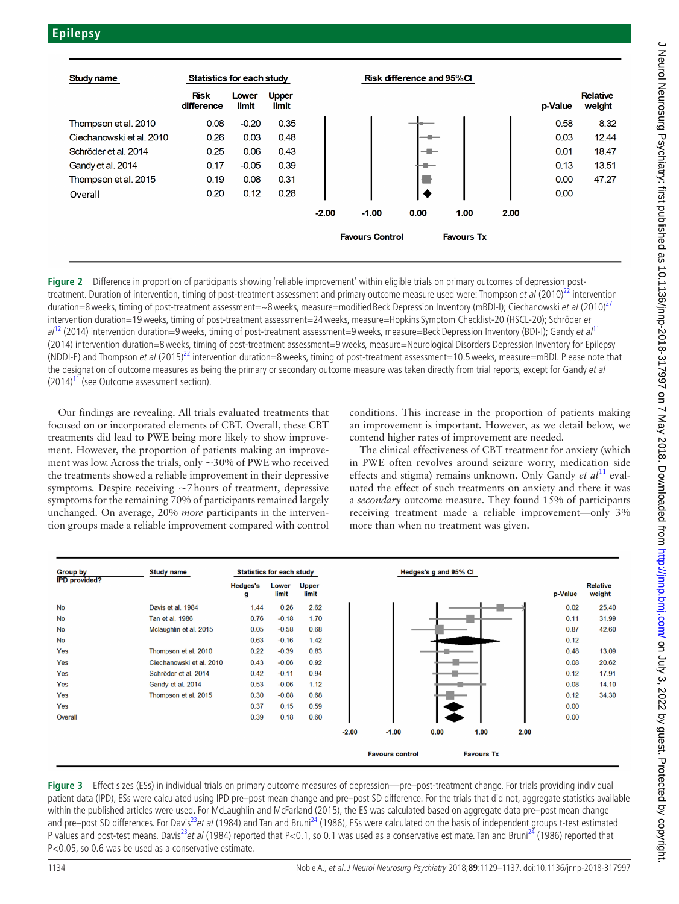

<span id="page-5-0"></span>**Figure 2** Difference in proportion of participants showing 'reliable improvement' within eligible trials on primary outcomes of depression posttreatment. Duration of intervention, timing of post-treatment assessment and primary outcome measure used were: Thompson et al  $(2010)^{22}$  $(2010)^{22}$  $(2010)^{22}$  intervention duration=8 weeks, timing of post-treatment assessment=~8 weeks, measure=modified Beck Depression Inventory (mBDI-I); Ciechanowski et al (2010)<sup>[27](#page-8-12)</sup> intervention duration=19 weeks, timing of post-treatment assessment=24 weeks, measure=Hopkins Symptom Checklist-20 (HSCL-20); Schröder et  $a^{1/2}$  (2014) intervention duration=9 weeks, timing of post-treatment assessment=9 weeks, measure=Beck Depression Inventory (BDI-I); Gandy et  $a^{1/1}$ (2014) intervention duration=8weeks, timing of post-treatment assessment=9weeks, measure=NeurologicalDisorders Depression Inventory for Epilepsy (NDDI-E) and Thompson et al (2015)<sup>22</sup> intervention duration=8 weeks, timing of post-treatment assessment=10.5 weeks, measure=mBDI. Please note that the designation of outcome measures as being the primary or secondary outcome measure was taken directly from trial reports, except for Gandy et al  $(2014)^{11}$  (see Outcome assessment section).

Our findings are revealing. All trials evaluated treatments that focused on or incorporated elements of CBT. Overall, these CBT treatments did lead to PWE being more likely to show improvement. However, the proportion of patients making an improvement was low. Across the trials, only ~30% of PWE who received the treatments showed a reliable improvement in their depressive symptoms. Despite receiving  $\sim$ 7 hours of treatment, depressive symptoms for the remaining 70% of participants remained largely unchanged. On average, 20% *more* participants in the intervention groups made a reliable improvement compared with control

conditions. This increase in the proportion of patients making an improvement is important. However, as we detail below, we contend higher rates of improvement are needed.

The clinical effectiveness of CBT treatment for anxiety (which in PWE often revolves around seizure worry, medication side effects and stigma) remains unknown. Only Gandy *et al*<sup>[11](#page-8-8)</sup> evaluated the effect of such treatments on anxiety and there it was a *secondary* outcome measure. They found 15% of participants receiving treatment made a reliable improvement—only 3% more than when no treatment was given.

| <b>Group by</b>      | <b>Study name</b>        | <b>Statistics for each study</b> |                |                |         |                        | Hedges's g and 95% CI |                   |      |         |                           |
|----------------------|--------------------------|----------------------------------|----------------|----------------|---------|------------------------|-----------------------|-------------------|------|---------|---------------------------|
| <b>IPD provided?</b> |                          | <b>Hedges's</b><br>g             | Lower<br>limit | Upper<br>limit |         |                        |                       |                   |      | p-Value | <b>Relative</b><br>weight |
| <b>No</b>            | Davis et al. 1984        | 1.44                             | 0.26           | 2.62           |         |                        |                       |                   |      | 0.02    | 25.40                     |
| <b>No</b>            | Tan et al. 1986          | 0.76                             | $-0.18$        | 1.70           |         |                        |                       |                   |      | 0.11    | 31.99                     |
| <b>No</b>            | Mclaughlin et al. 2015   | 0.05                             | $-0.58$        | 0.68           |         |                        |                       |                   |      | 0.87    | 42.60                     |
| <b>No</b>            |                          | 0.63                             | $-0.16$        | 1.42           |         |                        |                       |                   |      | 0.12    |                           |
| Yes                  | Thompson et al. 2010     | 0.22                             | $-0.39$        | 0.83           |         |                        |                       |                   |      | 0.48    | 13.09                     |
| Yes                  | Ciechanowski et al. 2010 | 0.43                             | $-0.06$        | 0.92           |         |                        |                       |                   |      | 0.08    | 20.62                     |
| Yes                  | Schröder et al. 2014     | 0.42                             | $-0.11$        | 0.94           |         |                        |                       |                   |      | 0.12    | 17.91                     |
| Yes                  | Gandy et al. 2014        | 0.53                             | $-0.06$        | 1.12           |         |                        |                       |                   |      | 0.08    | 14.10                     |
| Yes                  | Thompson et al. 2015     | 0.30                             | $-0.08$        | 0.68           |         |                        |                       |                   |      | 0.12    | 34.30                     |
| Yes                  |                          | 0.37                             | 0.15           | 0.59           |         |                        |                       |                   |      | 0.00    |                           |
| Overall              |                          | 0.39                             | 0.18           | 0.60           |         |                        |                       |                   |      | 0.00    |                           |
|                      |                          |                                  |                |                | $-2.00$ | $-1.00$                | 0.00                  | 1.00              | 2.00 |         |                           |
|                      |                          |                                  |                |                |         | <b>Favours control</b> |                       | <b>Favours Tx</b> |      |         |                           |

<span id="page-5-1"></span>**Figure 3** Effect sizes (ESs) in individual trials on primary outcome measures of depression—pre–post-treatment change. For trials providing individual patient data (IPD), ESs were calculated using IPD pre–post mean change and pre–post SD difference. For the trials that did not, aggregate statistics available within the published articles were used. For McLaughlin and McFarland (2015), the ES was calculated based on aggregate data pre–post mean change and pre–post SD differences. For Davis<sup>23</sup>et al (1984) and Tan and Bruni<sup>24</sup> (1986), ESs were calculated on the basis of independent groups t-test estimated P values and post-test means. Davis<sup>[23](#page-8-23)</sup>et al (1984) reported that P<0.1, so 0.1 was used as a conservative estimate. Tan and Bruni<sup>24</sup> (1986) reported that P<0.05, so 0.6 was be used as a conservative estimate.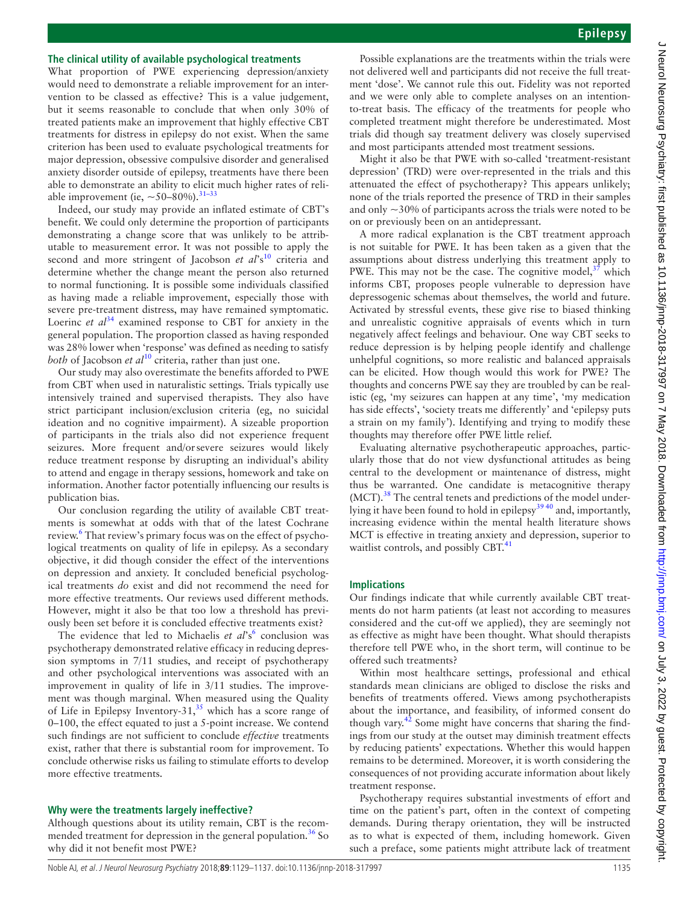# **The clinical utility of available psychological treatments**

What proportion of PWE experiencing depression/anxiety would need to demonstrate a reliable improvement for an intervention to be classed as effective? This is a value judgement, but it seems reasonable to conclude that when only 30% of treated patients make an improvement that highly effective CBT treatments for distress in epilepsy do not exist. When the same criterion has been used to evaluate psychological treatments for major depression, obsessive compulsive disorder and generalised anxiety disorder outside of epilepsy, treatments have there been able to demonstrate an ability to elicit much higher rates of reliable improvement (ie,  $\sim$  50–80%).<sup>31–33</sup>

Indeed, our study may provide an inflated estimate of CBT's benefit. We could only determine the proportion of participants demonstrating a change score that was unlikely to be attributable to measurement error. It was not possible to apply the second and more stringent of Jacobson *et al*'s<sup>10</sup> criteria and determine whether the change meant the person also returned to normal functioning. It is possible some individuals classified as having made a reliable improvement, especially those with severe pre-treatment distress, may have remained symptomatic. Loerinc *et al*<sup>[34](#page-8-28)</sup> examined response to CBT for anxiety in the general population. The proportion classed as having responded was 28% lower when 'response' was defined as needing to satisfy *both* of Jacobson *et al*<sup>10</sup> criteria, rather than just one.

Our study may also overestimate the benefits afforded to PWE from CBT when used in naturalistic settings. Trials typically use intensively trained and supervised therapists. They also have strict participant inclusion/exclusion criteria (eg, no suicidal ideation and no cognitive impairment). A sizeable proportion of participants in the trials also did not experience frequent seizures. More frequent and/orsevere seizures would likely reduce treatment response by disrupting an individual's ability to attend and engage in therapy sessions, homework and take on information. Another factor potentially influencing our results is publication bias.

Our conclusion regarding the utility of available CBT treatments is somewhat at odds with that of the latest Cochrane review.<sup>6</sup> That review's primary focus was on the effect of psychological treatments on quality of life in epilepsy. As a secondary objective, it did though consider the effect of the interventions on depression and anxiety. It concluded beneficial psychological treatments *do* exist and did not recommend the need for more effective treatments. Our reviews used different methods. However, might it also be that too low a threshold has previously been set before it is concluded effective treatments exist?

The evidence that led to Michaelis et al's<sup>[6](#page-8-4)</sup> conclusion was psychotherapy demonstrated relative efficacy in reducing depression symptoms in 7/11 studies, and receipt of psychotherapy and other psychological interventions was associated with an improvement in quality of life in 3/11 studies. The improvement was though marginal. When measured using the Quality of Life in Epilepsy Inventory-31,<sup>[35](#page-8-29)</sup> which has a score range of 0–100, the effect equated to just a 5-point increase. We contend such findings are not sufficient to conclude *effective* treatments exist, rather that there is substantial room for improvement. To conclude otherwise risks us failing to stimulate efforts to develop more effective treatments.

## **Why were the treatments largely ineffective?**

Although questions about its utility remain, CBT is the recommended treatment for depression in the general population.<sup>36</sup> So why did it not benefit most PWE?

Possible explanations are the treatments within the trials were not delivered well and participants did not receive the full treatment 'dose'. We cannot rule this out. Fidelity was not reported and we were only able to complete analyses on an intentionto-treat basis. The efficacy of the treatments for people who completed treatment might therefore be underestimated. Most trials did though say treatment delivery was closely supervised and most participants attended most treatment sessions.

Might it also be that PWE with so-called 'treatment-resistant depression' (TRD) were over-represented in the trials and this attenuated the effect of psychotherapy? This appears unlikely; none of the trials reported the presence of TRD in their samples and only  $\sim$ 30% of participants across the trials were noted to be on or previously been on an antidepressant.

A more radical explanation is the CBT treatment approach is not suitable for PWE. It has been taken as a given that the assumptions about distress underlying this treatment apply to PWE. This may not be the case. The cognitive model, $37$  which informs CBT, proposes people vulnerable to depression have depressogenic schemas about themselves, the world and future. Activated by stressful events, these give rise to biased thinking and unrealistic cognitive appraisals of events which in turn negatively affect feelings and behaviour. One way CBT seeks to reduce depression is by helping people identify and challenge unhelpful cognitions, so more realistic and balanced appraisals can be elicited. How though would this work for PWE? The thoughts and concerns PWE say they are troubled by can be realistic (eg, 'my seizures can happen at any time', 'my medication has side effects', 'society treats me differently' and 'epilepsy puts a strain on my family'). Identifying and trying to modify these thoughts may therefore offer PWE little relief.

Evaluating alternative psychotherapeutic approaches, particularly those that do not view dysfunctional attitudes as being central to the development or maintenance of distress, might thus be warranted. One candidate is metacognitive therapy  $(MCT).$ <sup>[38](#page-8-32)</sup> The central tenets and predictions of the model underlying it have been found to hold in epilepsy<sup>3940</sup> and, importantly, increasing evidence within the mental health literature shows MCT is effective in treating anxiety and depression, superior to waitlist controls, and possibly CBT.<sup>4</sup>

# **Implications**

Our findings indicate that while currently available CBT treatments do not harm patients (at least not according to measures considered and the cut-off we applied), they are seemingly not as effective as might have been thought. What should therapists therefore tell PWE who, in the short term, will continue to be offered such treatments?

Within most healthcare settings, professional and ethical standards mean clinicians are obliged to disclose the risks and benefits of treatments offered. Views among psychotherapists about the importance, and feasibility, of informed consent do though vary. $42$  Some might have concerns that sharing the findings from our study at the outset may diminish treatment effects by reducing patients' expectations. Whether this would happen remains to be determined. Moreover, it is worth considering the consequences of not providing accurate information about likely treatment response.

Psychotherapy requires substantial investments of effort and time on the patient's part, often in the context of competing demands. During therapy orientation, they will be instructed as to what is expected of them, including homework. Given such a preface, some patients might attribute lack of treatment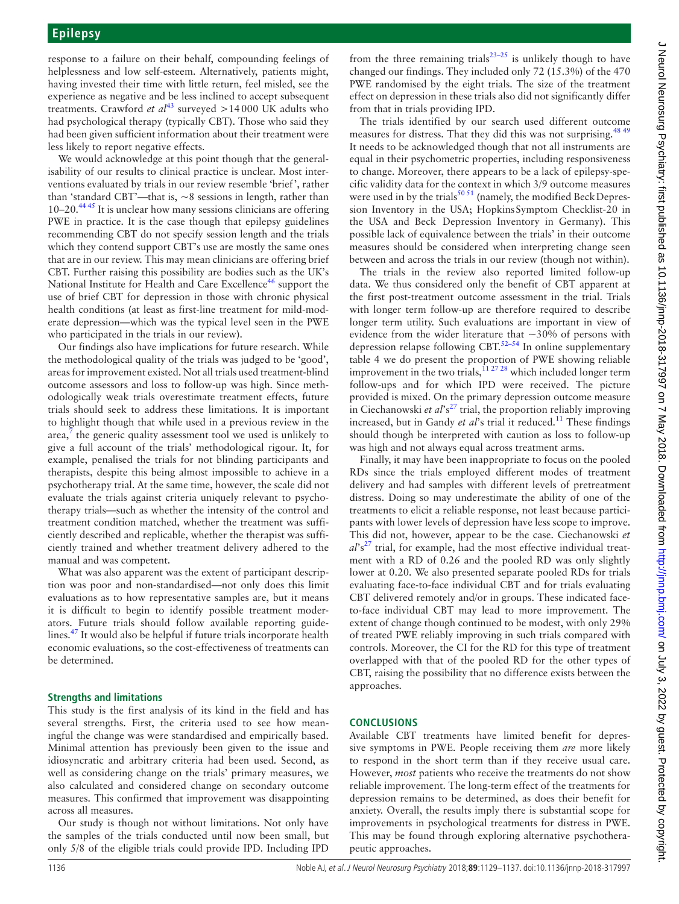response to a failure on their behalf, compounding feelings of helplessness and low self-esteem. Alternatively, patients might, having invested their time with little return, feel misled, see the experience as negative and be less inclined to accept subsequent treatments. Crawford *et al*<sup>43</sup> surveyed >14000 UK adults who had psychological therapy (typically CBT). Those who said they had been given sufficient information about their treatment were less likely to report negative effects.

We would acknowledge at this point though that the generalisability of our results to clinical practice is unclear. Most interventions evaluated by trials in our review resemble 'brief', rather than 'standard CBT'—that is, ~8 sessions in length, rather than  $10-20$ <sup>4445</sup> It is unclear how many sessions clinicians are offering PWE in practice. It is the case though that epilepsy guidelines recommending CBT do not specify session length and the trials which they contend support CBT's use are mostly the same ones that are in our review. This may mean clinicians are offering brief CBT. Further raising this possibility are bodies such as the UK's National Institute for Health and Care Excellence<sup>[46](#page-8-38)</sup> support the use of brief CBT for depression in those with chronic physical health conditions (at least as first-line treatment for mild-moderate depression—which was the typical level seen in the PWE who participated in the trials in our review).

Our findings also have implications for future research. While the methodological quality of the trials was judged to be 'good', areas for improvement existed. Not all trials used treatment-blind outcome assessors and loss to follow-up was high. Since methodologically weak trials overestimate treatment effects, future trials should seek to address these limitations. It is important to highlight though that while used in a previous review in the area, $\frac{7}{7}$  $\frac{7}{7}$  $\frac{7}{7}$  the generic quality assessment tool we used is unlikely to give a full account of the trials' methodological rigour. It, for example, penalised the trials for not blinding participants and therapists, despite this being almost impossible to achieve in a psychotherapy trial. At the same time, however, the scale did not evaluate the trials against criteria uniquely relevant to psychotherapy trials—such as whether the intensity of the control and treatment condition matched, whether the treatment was sufficiently described and replicable, whether the therapist was sufficiently trained and whether treatment delivery adhered to the manual and was competent.

What was also apparent was the extent of participant description was poor and non-standardised—not only does this limit evaluations as to how representative samples are, but it means it is difficult to begin to identify possible treatment moderators. Future trials should follow available reporting guidelines[.47](#page-8-39) It would also be helpful if future trials incorporate health economic evaluations, so the cost-effectiveness of treatments can be determined.

# **Strengths and limitations**

This study is the first analysis of its kind in the field and has several strengths. First, the criteria used to see how meaningful the change was were standardised and empirically based. Minimal attention has previously been given to the issue and idiosyncratic and arbitrary criteria had been used. Second, as well as considering change on the trials' primary measures, we also calculated and considered change on secondary outcome measures. This confirmed that improvement was disappointing across all measures.

Our study is though not without limitations. Not only have the samples of the trials conducted until now been small, but only 5/8 of the eligible trials could provide IPD. Including IPD

from the three remaining trials<sup>23–25</sup> is unlikely though to have changed our findings. They included only 72 (15.3%) of the 470 PWE randomised by the eight trials. The size of the treatment effect on depression in these trials also did not significantly differ from that in trials providing IPD.

The trials identified by our search used different outcome measures for distress. That they did this was not surprising.<sup>[48 49](#page-8-40)</sup> It needs to be acknowledged though that not all instruments are equal in their psychometric properties, including responsiveness to change. Moreover, there appears to be a lack of epilepsy-specific validity data for the context in which 3/9 outcome measures were used in by the trials $^{5051}$  (namely, the modified Beck Depression Inventory in the USA; HopkinsSymptom Checklist-20 in the USA and Beck Depression Inventory in Germany). This possible lack of equivalence between the trials' in their outcome measures should be considered when interpreting change seen between and across the trials in our review (though not within).

The trials in the review also reported limited follow-up data. We thus considered only the benefit of CBT apparent at the first post-treatment outcome assessment in the trial. Trials with longer term follow-up are therefore required to describe longer term utility. Such evaluations are important in view of evidence from the wider literature that  $\sim$ 30% of persons with depression relapse following CBT.[52–54](#page-8-42) In online [supplementary](https://dx.doi.org/10.1136/jnnp-2018-317997) [table 4](https://dx.doi.org/10.1136/jnnp-2018-317997) we do present the proportion of PWE showing reliable improvement in the two trials,  $112728$  which included longer term follow-ups and for which IPD were received. The picture provided is mixed. On the primary depression outcome measure in Ciechanowski *et al*'s<sup>27</sup> trial, the proportion reliably improving increased, but in Gandy et al's trial it reduced.<sup>[11](#page-8-8)</sup> These findings should though be interpreted with caution as loss to follow-up was high and not always equal across treatment arms.

Finally, it may have been inappropriate to focus on the pooled RDs since the trials employed different modes of treatment delivery and had samples with different levels of pretreatment distress. Doing so may underestimate the ability of one of the treatments to elicit a reliable response, not least because participants with lower levels of depression have less scope to improve. This did not, however, appear to be the case. Ciechanowski *et*   $a^{\prime}$ s<sup>[27](#page-8-12)</sup> trial, for example, had the most effective individual treatment with a RD of 0.26 and the pooled RD was only slightly lower at 0.20. We also presented separate pooled RDs for trials evaluating face-to-face individual CBT and for trials evaluating CBT delivered remotely and/or in groups. These indicated faceto-face individual CBT may lead to more improvement. The extent of change though continued to be modest, with only 29% of treated PWE reliably improving in such trials compared with controls. Moreover, the CI for the RD for this type of treatment overlapped with that of the pooled RD for the other types of CBT, raising the possibility that no difference exists between the approaches.

# **Conclusions**

Available CBT treatments have limited benefit for depressive symptoms in PWE. People receiving them *are* more likely to respond in the short term than if they receive usual care. However, *most* patients who receive the treatments do not show reliable improvement. The long-term effect of the treatments for depression remains to be determined, as does their benefit for anxiety. Overall, the results imply there is substantial scope for improvements in psychological treatments for distress in PWE. This may be found through exploring alternative psychotherapeutic approaches.